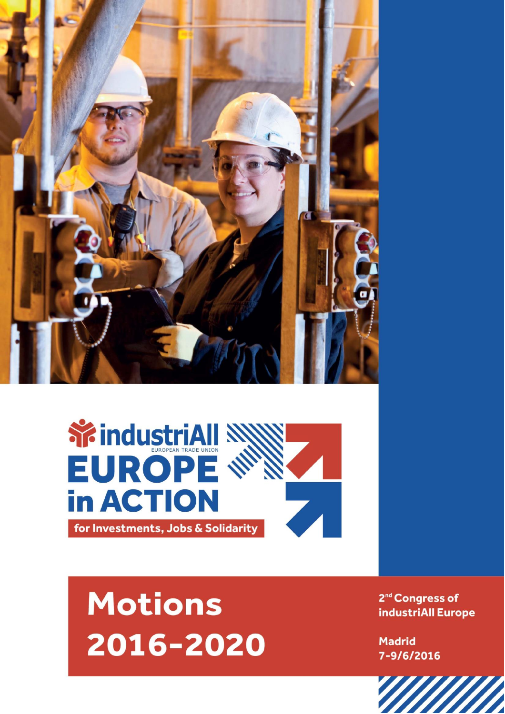



# **Motions** 2016-2020

2<sup>nd</sup> Congress of industriAll Europe

**Madrid** 7-9/6/2016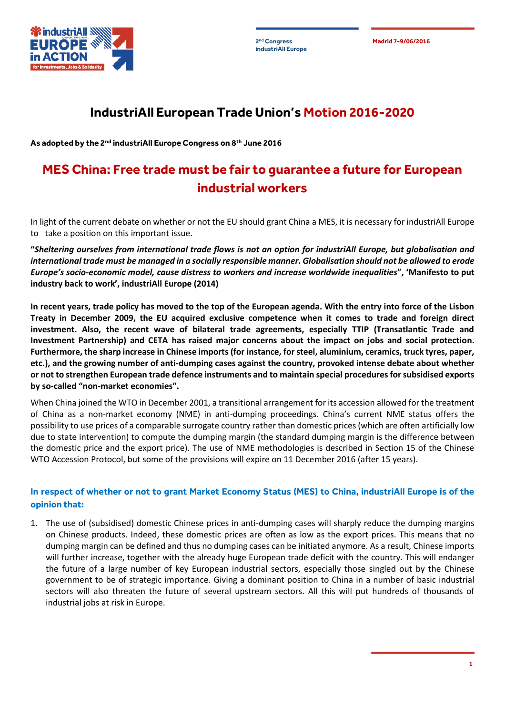



## **IndustriAll European Trade Union's Motion 2016-2020**

**As adopted by the 2nd industriAll Europe Congress on 8th June 2016**

## **MES China: Free trade must be fair to guarantee a future for European industrial workers**

In light of the current debate on whether or not the EU should grant China a MES, it is necessary for industriAll Europe to take a position on this important issue.

**"***Sheltering ourselves from international trade flows is not an option for industriAll Europe, but globalisation and international trade must be managed in a socially responsible manner. Globalisation should not be allowed to erode Europe's socio-economic model, cause distress to workers and increase worldwide inequalities***", 'Manifesto to put industry back to work', industriAll Europe (2014)**

**In recent years, trade policy has moved to the top of the European agenda. With the entry into force of the Lisbon Treaty in December 2009, the EU acquired exclusive competence when it comes to trade and foreign direct investment. Also, the recent wave of bilateral trade agreements, especially TTIP (Transatlantic Trade and Investment Partnership) and CETA has raised major concerns about the impact on jobs and social protection. Furthermore, the sharp increase in Chinese imports (for instance, for steel, aluminium, ceramics, truck tyres, paper, etc.), and the growing number of anti-dumping cases against the country, provoked intense debate about whether or not to strengthen European trade defence instruments and to maintain special procedures for subsidised exports by so-called "non-market economies".**

When China joined the WTO in December 2001, a transitional arrangement for its accession allowed for the treatment of China as a non-market economy (NME) in anti-dumping proceedings. China's current NME status offers the possibility to use prices of a comparable surrogate country rather than domestic prices (which are often artificially low due to state intervention) to compute the dumping margin (the standard dumping margin is the difference between the domestic price and the export price). The use of NME methodologies is described in Section 15 of the Chinese WTO Accession Protocol, but some of the provisions will expire on 11 December 2016 (after 15 years).

#### **In respect of whether or not to grant Market Economy Status (MES) to China, industriAll Europe is of the opinion that:**

1. The use of (subsidised) domestic Chinese prices in anti-dumping cases will sharply reduce the dumping margins on Chinese products. Indeed, these domestic prices are often as low as the export prices. This means that no dumping margin can be defined and thus no dumping cases can be initiated anymore. As a result, Chinese imports will further increase, together with the already huge European trade deficit with the country. This will endanger the future of a large number of key European industrial sectors, especially those singled out by the Chinese government to be of strategic importance. Giving a dominant position to China in a number of basic industrial sectors will also threaten the future of several upstream sectors. All this will put hundreds of thousands of industrial jobs at risk in Europe.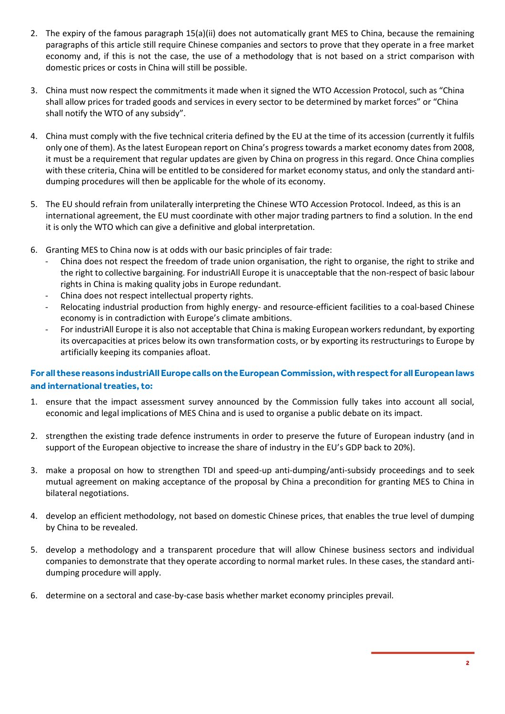- 2. The expiry of the famous paragraph 15(a)(ii) does not automatically grant MES to China, because the remaining paragraphs of this article still require Chinese companies and sectors to prove that they operate in a free market economy and, if this is not the case, the use of a methodology that is not based on a strict comparison with domestic prices or costs in China will still be possible.
- 3. China must now respect the commitments it made when it signed the WTO Accession Protocol, such as "China shall allow prices for traded goods and services in every sector to be determined by market forces" or "China shall notify the WTO of any subsidy".
- 4. China must comply with the five technical criteria defined by the EU at the time of its accession (currently it fulfils only one of them). As the latest European report on China's progress towards a market economy dates from 2008, it must be a requirement that regular updates are given by China on progress in this regard. Once China complies with these criteria, China will be entitled to be considered for market economy status, and only the standard antidumping procedures will then be applicable for the whole of its economy.
- 5. The EU should refrain from unilaterally interpreting the Chinese WTO Accession Protocol. Indeed, as this is an international agreement, the EU must coordinate with other major trading partners to find a solution. In the end it is only the WTO which can give a definitive and global interpretation.
- 6. Granting MES to China now is at odds with our basic principles of fair trade:
	- China does not respect the freedom of trade union organisation, the right to organise, the right to strike and the right to collective bargaining. For industriAll Europe it is unacceptable that the non-respect of basic labour rights in China is making quality jobs in Europe redundant.
	- China does not respect intellectual property rights.
	- Relocating industrial production from highly energy- and resource-efficient facilities to a coal-based Chinese economy is in contradiction with Europe's climate ambitions.
	- For industriAll Europe it is also not acceptable that China is making European workers redundant, by exporting its overcapacities at prices below its own transformation costs, or by exporting its restructurings to Europe by artificially keeping its companies afloat.

### **For all these reasons industriAll Europe calls on the European Commission, with respect for all European laws and international treaties, to:**

- 1. ensure that the impact assessment survey announced by the Commission fully takes into account all social, economic and legal implications of MES China and is used to organise a public debate on its impact.
- 2. strengthen the existing trade defence instruments in order to preserve the future of European industry (and in support of the European objective to increase the share of industry in the EU's GDP back to 20%).
- 3. make a proposal on how to strengthen TDI and speed-up anti-dumping/anti-subsidy proceedings and to seek mutual agreement on making acceptance of the proposal by China a precondition for granting MES to China in bilateral negotiations.
- 4. develop an efficient methodology, not based on domestic Chinese prices, that enables the true level of dumping by China to be revealed.
- 5. develop a methodology and a transparent procedure that will allow Chinese business sectors and individual companies to demonstrate that they operate according to normal market rules. In these cases, the standard antidumping procedure will apply.
- 6. determine on a sectoral and case-by-case basis whether market economy principles prevail.